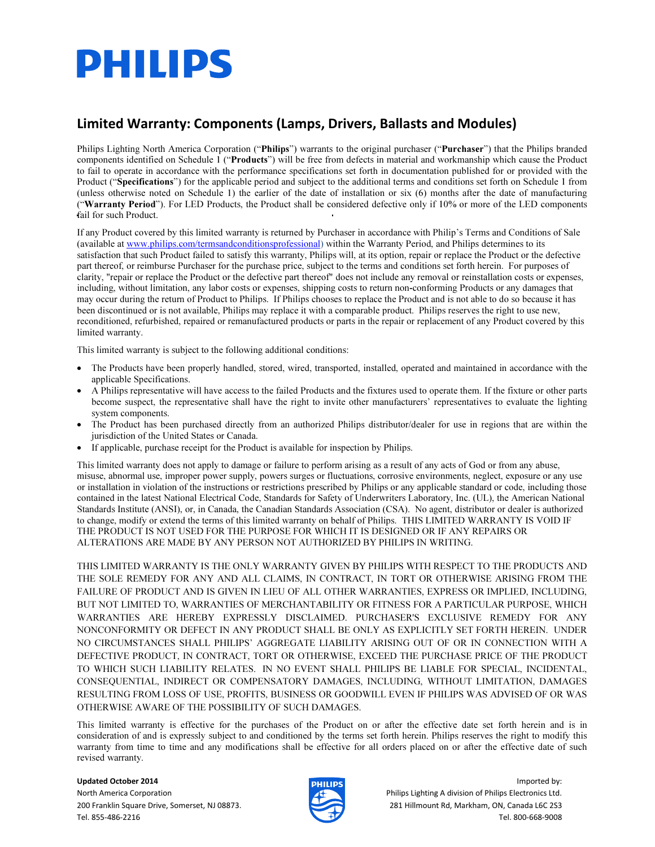# **PHILIPS**

## Limited Warranty: Components (Lamps, Drivers, Ballasts and Modules)

Philips Lighting North America Corporation ("Philips") warrants to the original purchaser ("Purchaser") that the Philips branded components identified on Schedule 1 ("Products") will be free from defects in material and workmanship which cause the Product to fail to operate in accordance with the performance specifications set forth in documentation published for or provided with the Product ("Specifications") for the applicable period and subject to the additional terms and conditions set forth on Schedule 1 from (unless otherwise noted on Schedule 1) the earlier of the date of installation or six (6) months after the date of manufacturing ("Warranty Period"). For LED Products, the Product shall be considered defective only if 10% or more of the LED components fail for such Product.

If any Product covered by this limited warranty is returned by Purchaser in accordance with Philip's Terms and Conditions of Sale (available at www.philips.com/termsandconditionsprofessional) within the Warranty Period, and Philips determines to its satisfaction that such Product failed to satisfy this warranty, Philips will, at its option, repair or replace the Product or the defective part thereof, or reimburse Purchaser for the purchase price, subject to the terms and conditions set forth herein. For purposes of clarity, "repair or replace the Product or the defective part thereof" does not include any removal or reinstallation costs or expenses, including, without limitation, any labor costs or expenses, shipping costs to return non-conforming Products or any damages that may occur during the return of Product to Philips. If Philips chooses to replace the Product and is not able to do so because it has been discontinued or is not available, Philips may replace it with a comparable product. Philips reserves the right to use new, reconditioned, refurbished, repaired or remanufactured products or parts in the repair or replacement of any Product covered by this limited warranty.

This limited warranty is subject to the following additional conditions:

- The Products have been properly handled, stored, wired, transported, installed, operated and maintained in accordance with the applicable Specifications.
- A Philips representative will have access to the failed Products and the fixtures used to operate them. If the fixture or other parts become suspect, the representative shall have the right to invite other manufacturers' representatives to evaluate the lighting system components.
- The Product has been purchased directly from an authorized Philips distributor/dealer for use in regions that are within the jurisdiction of the United States or Canada.
- If applicable, purchase receipt for the Product is available for inspection by Philips.

This limited warranty does not apply to damage or failure to perform arising as a result of any acts of God or from any abuse, misuse, abnormal use, improper power supply, powers surges or fluctuations, corrosive environments, neglect, exposure or any use or installation in violation of the instructions or restrictions prescribed by Philips or any applicable standard or code, including those contained in the latest National Electrical Code, Standards for Safety of Underwriters Laboratory, Inc. (UL), the American National Standards Institute (ANSI), or, in Canada, the Canadian Standards Association (CSA). No agent, distributor or dealer is authorized to change, modify or extend the terms of this limited warranty on behalf of Philips. THIS LIMITED WARRANTY IS VOID IF THE PRODUCT IS NOT USED FOR THE PURPOSE FOR WHICH IT IS DESIGNED OR IF ANY REPAIRS OR ALTERATIONS ARE MADE BY ANY PERSON NOT AUTHORIZED BY PHILIPS IN WRITING.

THIS LIMITED WARRANTY IS THE ONLY WARRANTY GIVEN BY PHILIPS WITH RESPECT TO THE PRODUCTS AND THE SOLE REMEDY FOR ANY AND ALL CLAIMS, IN CONTRACT, IN TORT OR OTHERWISE ARISING FROM THE FAILURE OF PRODUCT AND IS GIVEN IN LIEU OF ALL OTHER WARRANTIES, EXPRESS OR IMPLIED, INCLUDING, BUT NOT LIMITED TO, WARRANTIES OF MERCHANTABILITY OR FITNESS FOR A PARTICULAR PURPOSE, WHICH WARRANTIES ARE HEREBY EXPRESSLY DISCLAIMED. PURCHASER'S EXCLUSIVE REMEDY FOR ANY NONCONFORMITY OR DEFECT IN ANY PRODUCT SHALL BE ONLY AS EXPLICITLY SET FORTH HEREIN. UNDER NO CIRCUMSTANCES SHALL PHILIPS' AGGREGATE LIABILITY ARISING OUT OF OR IN CONNECTION WITH A DEFECTIVE PRODUCT, IN CONTRACT, TORT OR OTHERWISE, EXCEED THE PURCHASE PRICE OF THE PRODUCT TO WHICH SUCH LIABILITY RELATES. IN NO EVENT SHALL PHILIPS BE LIABLE FOR SPECIAL, INCIDENTAL, CONSEQUENTIAL, INDIRECT OR COMPENSATORY DAMAGES, INCLUDING, WITHOUT LIMITATION, DAMAGES RESULTING FROM LOSS OF USE, PROFITS, BUSINESS OR GOODWILL EVEN IF PHILIPS WAS ADVISED OF OR WAS OTHERWISE AWARE OF THE POSSIBILITY OF SUCH DAMAGES.

This limited warranty is effective for the purchases of the Product on or after the effective date set forth herein and is in consideration of and is expressly subject to and conditioned by the terms set forth herein. Philips reserves the right to modify this warranty from time to time and any modifications shall be effective for all orders placed on or after the effective date of such revised warranty.



Updated October 2014 Imported by: North America Corporation Philips Lighting A division of Philips Electronics Ltd. 200 Franklin Square Drive, Somerset, NJ 08873. 281 Hillmount Rd, Markham, ON, Canada L6C 2S3 Tel. 855-486-2216 Tel. 800-668-9008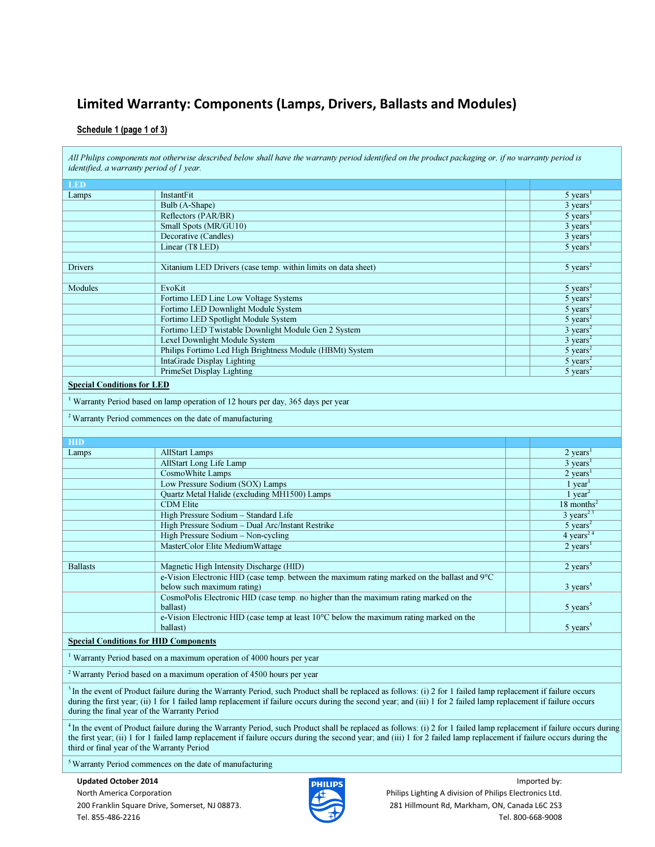## Limited Warranty: Components (Lamps, Drivers, Ballasts and Modules)

#### Schedule 1 (page 1 of 3)

|                                   | All Philips components not otherwise described below shall have the warranty period identified on the product packaging or, if no warranty period is<br>identified, a warranty period of 1 year.                                                                                                                                                                                                        |                                |
|-----------------------------------|---------------------------------------------------------------------------------------------------------------------------------------------------------------------------------------------------------------------------------------------------------------------------------------------------------------------------------------------------------------------------------------------------------|--------------------------------|
| <b>LED</b>                        |                                                                                                                                                                                                                                                                                                                                                                                                         |                                |
| Lamps                             | InstantFit                                                                                                                                                                                                                                                                                                                                                                                              | $5$ years <sup>1</sup>         |
|                                   | Bulb (A-Shape)                                                                                                                                                                                                                                                                                                                                                                                          | $3 \text{ years}^1$            |
|                                   | Reflectors (PAR/BR)                                                                                                                                                                                                                                                                                                                                                                                     | $5$ years <sup>1</sup>         |
|                                   | Small Spots (MR/GU10)                                                                                                                                                                                                                                                                                                                                                                                   | $3 \text{ years}^1$            |
|                                   | Decorative (Candles)                                                                                                                                                                                                                                                                                                                                                                                    | $3 \text{ years}^1$            |
|                                   | Linear (T8 LED)                                                                                                                                                                                                                                                                                                                                                                                         | $5 \overline{\text{ years}}^1$ |
|                                   |                                                                                                                                                                                                                                                                                                                                                                                                         |                                |
| Drivers                           | Xitanium LED Drivers (case temp. within limits on data sheet)                                                                                                                                                                                                                                                                                                                                           | $5 \text{ years}^2$            |
|                                   | EvoKit                                                                                                                                                                                                                                                                                                                                                                                                  | $5 \text{ years}^2$            |
| Modules                           |                                                                                                                                                                                                                                                                                                                                                                                                         |                                |
|                                   | Fortimo LED Line Low Voltage Systems                                                                                                                                                                                                                                                                                                                                                                    | 5 years <sup>2</sup>           |
|                                   | Fortimo LED Downlight Module System                                                                                                                                                                                                                                                                                                                                                                     | $\overline{5 \text{ years}}^2$ |
|                                   | Fortimo LED Spotlight Module System                                                                                                                                                                                                                                                                                                                                                                     | $5 \text{ years}^2$            |
|                                   | Fortimo LED Twistable Downlight Module Gen 2 System                                                                                                                                                                                                                                                                                                                                                     | $3 \text{ years}^2$            |
|                                   | Lexel Downlight Module System                                                                                                                                                                                                                                                                                                                                                                           | $3 \text{ years}^2$            |
|                                   | Philips Fortimo Led High Brightness Module (HBMt) System                                                                                                                                                                                                                                                                                                                                                | 5 years <sup>2</sup>           |
|                                   | IntaGrade Display Lighting                                                                                                                                                                                                                                                                                                                                                                              | 5 years <sup>2</sup>           |
|                                   | <b>PrimeSet Display Lighting</b>                                                                                                                                                                                                                                                                                                                                                                        | $5 \text{ years}^2$            |
| <b>Special Conditions for LED</b> |                                                                                                                                                                                                                                                                                                                                                                                                         |                                |
|                                   | <sup>1</sup> Warranty Period based on lamp operation of 12 hours per day, 365 days per year                                                                                                                                                                                                                                                                                                             |                                |
|                                   | <sup>2</sup> Warranty Period commences on the date of manufacturing                                                                                                                                                                                                                                                                                                                                     |                                |
|                                   |                                                                                                                                                                                                                                                                                                                                                                                                         |                                |
| <b>HID</b>                        |                                                                                                                                                                                                                                                                                                                                                                                                         |                                |
| Lamps                             | <b>AllStart Lamps</b>                                                                                                                                                                                                                                                                                                                                                                                   | $2 \text{ years}^1$            |
|                                   | AllStart Long Life Lamp                                                                                                                                                                                                                                                                                                                                                                                 | $3 \text{ years}^1$            |
|                                   | CosmoWhite Lamps                                                                                                                                                                                                                                                                                                                                                                                        | $2 \text{ years}^1$            |
|                                   | Low Pressure Sodium (SOX) Lamps                                                                                                                                                                                                                                                                                                                                                                         | $1$ year <sup>1</sup>          |
|                                   | Quartz Metal Halide (excluding MH1500) Lamps                                                                                                                                                                                                                                                                                                                                                            | 1 $year2$                      |
|                                   | <b>CDM</b> Elite                                                                                                                                                                                                                                                                                                                                                                                        | $18$ months <sup>2</sup>       |
|                                   | High Pressure Sodium - Standard Life                                                                                                                                                                                                                                                                                                                                                                    | $3 \text{ years}^{23}$         |
|                                   | High Pressure Sodium - Dual Arc/Instant Restrike                                                                                                                                                                                                                                                                                                                                                        | $5 \text{ years}^2$            |
|                                   | High Pressure Sodium - Non-cycling                                                                                                                                                                                                                                                                                                                                                                      | $4$ years <sup>24</sup>        |
|                                   | MasterColor Elite MediumWattage                                                                                                                                                                                                                                                                                                                                                                         | $2$ years <sup>1</sup>         |
|                                   |                                                                                                                                                                                                                                                                                                                                                                                                         |                                |
| <b>Ballasts</b>                   | Magnetic High Intensity Discharge (HID)                                                                                                                                                                                                                                                                                                                                                                 | $2 \text{ years}^5$            |
|                                   | e-Vision Electronic HID (case temp. between the maximum rating marked on the ballast and 9°C                                                                                                                                                                                                                                                                                                            |                                |
|                                   | below such maximum rating)                                                                                                                                                                                                                                                                                                                                                                              | $3 \text{ years}^5$            |
|                                   | CosmoPolis Electronic HID (case temp. no higher than the maximum rating marked on the<br>ballast)                                                                                                                                                                                                                                                                                                       | $5 \text{ years}^5$            |
|                                   | e-Vision Electronic HID (case temp at least 10°C below the maximum rating marked on the                                                                                                                                                                                                                                                                                                                 |                                |
|                                   | ballast)                                                                                                                                                                                                                                                                                                                                                                                                | $5$ years <sup>5</sup>         |
|                                   | <b>Special Conditions for HID Components</b>                                                                                                                                                                                                                                                                                                                                                            |                                |
|                                   | <sup>1</sup> Warranty Period based on a maximum operation of 4000 hours per year                                                                                                                                                                                                                                                                                                                        |                                |
|                                   | <sup>2</sup> Warranty Period based on a maximum operation of 4500 hours per year                                                                                                                                                                                                                                                                                                                        |                                |
|                                   | <sup>3</sup> In the event of Product failure during the Warranty Period, such Product shall be replaced as follows: (i) 2 for 1 failed lamp replacement if failure occurs<br>during the first year; (ii) 1 for 1 failed lamp replacement if failure occurs during the second year; and (iii) 1 for 2 failed lamp replacement if failure occurs<br>during the final year of the Warranty Period          |                                |
|                                   | <sup>4</sup> In the event of Product failure during the Warranty Period, such Product shall be replaced as follows: (i) 2 for 1 failed lamp replacement if failure occurs during<br>the first year; (ii) 1 for 1 failed lamp replacement if failure occurs during the second year; and (iii) 1 for 2 failed lamp replacement if failure occurs during the<br>third or final year of the Warranty Period |                                |
|                                   | <sup>5</sup> Warranty Period commences on the date of manufacturing                                                                                                                                                                                                                                                                                                                                     |                                |
| <b>Updated October 2014</b>       | <b>PHILIPS</b>                                                                                                                                                                                                                                                                                                                                                                                          | Imported by:                   |

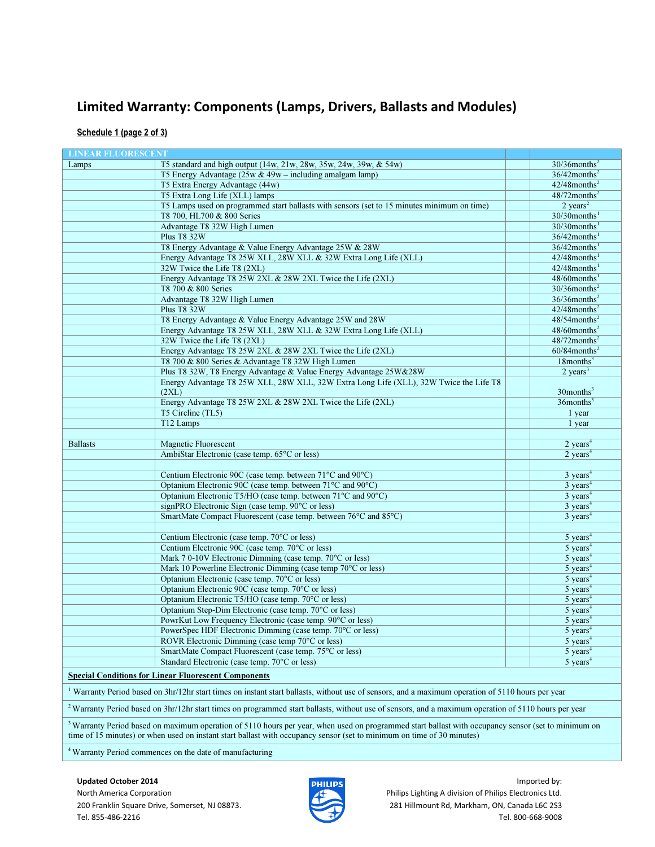#### Limited Warranty: Components (Lamps, Drivers, Ballasts and Modules)

Schedule 1 (page 2 of 3)

| <b>LINEAR FLUORESCENT</b>                                                                                                                                                                                                                                                                |                                                                                                                                                                 |                                |  |  |
|------------------------------------------------------------------------------------------------------------------------------------------------------------------------------------------------------------------------------------------------------------------------------------------|-----------------------------------------------------------------------------------------------------------------------------------------------------------------|--------------------------------|--|--|
| Lamps                                                                                                                                                                                                                                                                                    | T5 standard and high output (14w, 21w, 28w, 35w, 24w, 39w, & 54w)                                                                                               | $30/36$ months <sup>2</sup>    |  |  |
|                                                                                                                                                                                                                                                                                          | T5 Energy Advantage $(25w \& 49w - \text{including analgam lamp})$                                                                                              | $36/42$ months <sup>2</sup>    |  |  |
|                                                                                                                                                                                                                                                                                          | T5 Extra Energy Advantage (44w)                                                                                                                                 | $42/48$ months <sup>2</sup>    |  |  |
|                                                                                                                                                                                                                                                                                          | T5 Extra Long Life (XLL) lamps                                                                                                                                  | $48/72$ months <sup>2</sup>    |  |  |
|                                                                                                                                                                                                                                                                                          | T5 Lamps used on programmed start ballasts with sensors (set to 15 minutes minimum on time)                                                                     | $2 \text{ years}^2$            |  |  |
|                                                                                                                                                                                                                                                                                          | T8 700, HL700 & 800 Series                                                                                                                                      | $30/30$ months <sup>1</sup>    |  |  |
|                                                                                                                                                                                                                                                                                          | Advantage T8 32W High Lumen                                                                                                                                     | $30/30$ months <sup>1</sup>    |  |  |
|                                                                                                                                                                                                                                                                                          | <b>Plus T8 32W</b>                                                                                                                                              | $36/42$ months <sup>1</sup>    |  |  |
|                                                                                                                                                                                                                                                                                          | T8 Energy Advantage & Value Energy Advantage 25W & 28W                                                                                                          | $36/42$ months <sup>1</sup>    |  |  |
|                                                                                                                                                                                                                                                                                          | Energy Advantage T8 25W XLL, 28W XLL & 32W Extra Long Life (XLL)                                                                                                | $42/48$ months <sup>1</sup>    |  |  |
|                                                                                                                                                                                                                                                                                          | 32W Twice the Life T8 (2XL)                                                                                                                                     | $42/48$ months <sup>1</sup>    |  |  |
|                                                                                                                                                                                                                                                                                          | Energy Advantage T8 25W 2XL & 28W 2XL Twice the Life (2XL)                                                                                                      | $48/60$ months <sup>1</sup>    |  |  |
|                                                                                                                                                                                                                                                                                          | T8 700 & 800 Series                                                                                                                                             | $30/36$ months <sup>2</sup>    |  |  |
|                                                                                                                                                                                                                                                                                          | Advantage T8 32W High Lumen                                                                                                                                     | $36/36$ months <sup>2</sup>    |  |  |
|                                                                                                                                                                                                                                                                                          | <b>Plus T8 32W</b>                                                                                                                                              | $42/48$ months <sup>2</sup>    |  |  |
|                                                                                                                                                                                                                                                                                          | T8 Energy Advantage & Value Energy Advantage 25W and 28W                                                                                                        | $48/54$ months <sup>2</sup>    |  |  |
|                                                                                                                                                                                                                                                                                          | Energy Advantage T8 25W XLL, 28W XLL & 32W Extra Long Life (XLL)                                                                                                | $48/60$ months <sup>2</sup>    |  |  |
|                                                                                                                                                                                                                                                                                          | 32W Twice the Life T8 (2XL)                                                                                                                                     | $48/72$ months <sup>2</sup>    |  |  |
|                                                                                                                                                                                                                                                                                          | Energy Advantage T8 25W 2XL & 28W 2XL Twice the Life (2XL)                                                                                                      | $60/84$ months <sup>2</sup>    |  |  |
|                                                                                                                                                                                                                                                                                          | T8 700 & 800 Series & Advantage T8 32W High Lumen                                                                                                               | $18$ months <sup>3</sup>       |  |  |
|                                                                                                                                                                                                                                                                                          | Plus T8 32W, T8 Energy Advantage & Value Energy Advantage 25W&28W                                                                                               | $2 \text{ years}^3$            |  |  |
|                                                                                                                                                                                                                                                                                          | Energy Advantage T8 25W XLL, 28W XLL, 32W Extra Long Life (XLL), 32W Twice the Life T8                                                                          |                                |  |  |
|                                                                                                                                                                                                                                                                                          | (2XL)                                                                                                                                                           | $30$ months <sup>3</sup>       |  |  |
|                                                                                                                                                                                                                                                                                          | Energy Advantage T8 25W 2XL & 28W 2XL Twice the Life (2XL)                                                                                                      | $36$ months <sup>3</sup>       |  |  |
|                                                                                                                                                                                                                                                                                          | T5 Circline (TL5)                                                                                                                                               | 1 year                         |  |  |
|                                                                                                                                                                                                                                                                                          | T12 Lamps                                                                                                                                                       | 1 year                         |  |  |
|                                                                                                                                                                                                                                                                                          |                                                                                                                                                                 |                                |  |  |
| <b>Ballasts</b>                                                                                                                                                                                                                                                                          | <b>Magnetic Fluorescent</b>                                                                                                                                     | $2$ years <sup>4</sup>         |  |  |
|                                                                                                                                                                                                                                                                                          | AmbiStar Electronic (case temp. 65°C or less)                                                                                                                   | $2 \text{ years}^4$            |  |  |
|                                                                                                                                                                                                                                                                                          |                                                                                                                                                                 |                                |  |  |
|                                                                                                                                                                                                                                                                                          | Centium Electronic 90C (case temp. between 71°C and 90°C)                                                                                                       | $3 \text{ years}^4$            |  |  |
|                                                                                                                                                                                                                                                                                          | Optanium Electronic 90C (case temp. between 71°C and 90°C)                                                                                                      | $3 \text{ years}^4$            |  |  |
|                                                                                                                                                                                                                                                                                          | Optanium Electronic T5/HO (case temp. between 71°C and 90°C)                                                                                                    | $3 \text{ years}^4$            |  |  |
|                                                                                                                                                                                                                                                                                          | signPRO Electronic Sign (case temp. 90°C or less)                                                                                                               | $3 \text{ years}^4$            |  |  |
|                                                                                                                                                                                                                                                                                          | SmartMate Compact Fluorescent (case temp. between 76°C and 85°C)                                                                                                | $3 \overline{\text{ years}}^4$ |  |  |
|                                                                                                                                                                                                                                                                                          |                                                                                                                                                                 |                                |  |  |
|                                                                                                                                                                                                                                                                                          | Centium Electronic (case temp. 70°C or less)                                                                                                                    | $5$ years <sup>4</sup>         |  |  |
|                                                                                                                                                                                                                                                                                          | Centium Electronic 90C (case temp. 70°C or less)                                                                                                                | $5$ years <sup>4</sup>         |  |  |
|                                                                                                                                                                                                                                                                                          | Mark 7 0-10V Electronic Dimming (case temp. 70°C or less)                                                                                                       | $5$ years <sup>4</sup>         |  |  |
|                                                                                                                                                                                                                                                                                          | Mark 10 Powerline Electronic Dimming (case temp 70°C or less)                                                                                                   | $5$ years <sup>4</sup>         |  |  |
|                                                                                                                                                                                                                                                                                          | Optanium Electronic (case temp. 70°C or less)                                                                                                                   | $5$ years <sup>4</sup>         |  |  |
|                                                                                                                                                                                                                                                                                          | Optanium Electronic 90C (case temp. 70°C or less)                                                                                                               | $5 \overline{\text{ years}}^4$ |  |  |
|                                                                                                                                                                                                                                                                                          | Optanium Electronic T5/HO (case temp. 70°C or less)                                                                                                             | $5$ years <sup>4</sup>         |  |  |
|                                                                                                                                                                                                                                                                                          | Optanium Step-Dim Electronic (case temp. 70°C or less)                                                                                                          | $5$ years <sup>4</sup>         |  |  |
|                                                                                                                                                                                                                                                                                          | PowrKut Low Frequency Electronic (case temp. 90°C or less)                                                                                                      | $5$ years <sup>4</sup>         |  |  |
|                                                                                                                                                                                                                                                                                          | PowerSpec HDF Electronic Dimming (case temp. 70°C or less)                                                                                                      | $5 \text{ years}^4$            |  |  |
|                                                                                                                                                                                                                                                                                          | ROVR Electronic Dimming (case temp 70°C or less)                                                                                                                | $5$ years <sup>4</sup>         |  |  |
|                                                                                                                                                                                                                                                                                          | SmartMate Compact Fluorescent (case temp. 75°C or less)                                                                                                         | $5$ years <sup>4</sup>         |  |  |
|                                                                                                                                                                                                                                                                                          | Standard Electronic (case temp. 70°C or less)                                                                                                                   | $5 \text{ years}^4$            |  |  |
|                                                                                                                                                                                                                                                                                          | <b>Special Conditions for Linear Fluorescent Components</b>                                                                                                     |                                |  |  |
| <sup>1</sup> Warranty Period based on 3hr/12hr start times on instant start ballasts, without use of sensors, and a maximum operation of 5110 hours per year                                                                                                                             |                                                                                                                                                                 |                                |  |  |
|                                                                                                                                                                                                                                                                                          | <sup>2</sup> Warranty Period based on 3hr/12hr start times on programmed start ballasts, without use of sensors, and a maximum operation of 5110 hours per year |                                |  |  |
| <sup>3</sup> Warranty Period based on maximum operation of 5110 hours per year, when used on programmed start ballast with occupancy sensor (set to minimum on<br>time of 15 minutes) or when used on instant start ballast with occupancy sensor (set to minimum on time of 30 minutes) |                                                                                                                                                                 |                                |  |  |

<sup>4</sup>Warranty Period commences on the date of manufacturing



Updated October 2014 **Imported by: IMPORTED EXECUTES** North America Corporation **Philips Lighting A division of Philips Lighting A division of Philips Electronics Ltd.** 200 Franklin Square Drive, Somerset, NJ 08873. 281 Hillmount Rd, Markham, ON, Canada L6C 2S3 Tel. 855-486-2216 Tel. 800-668-9008